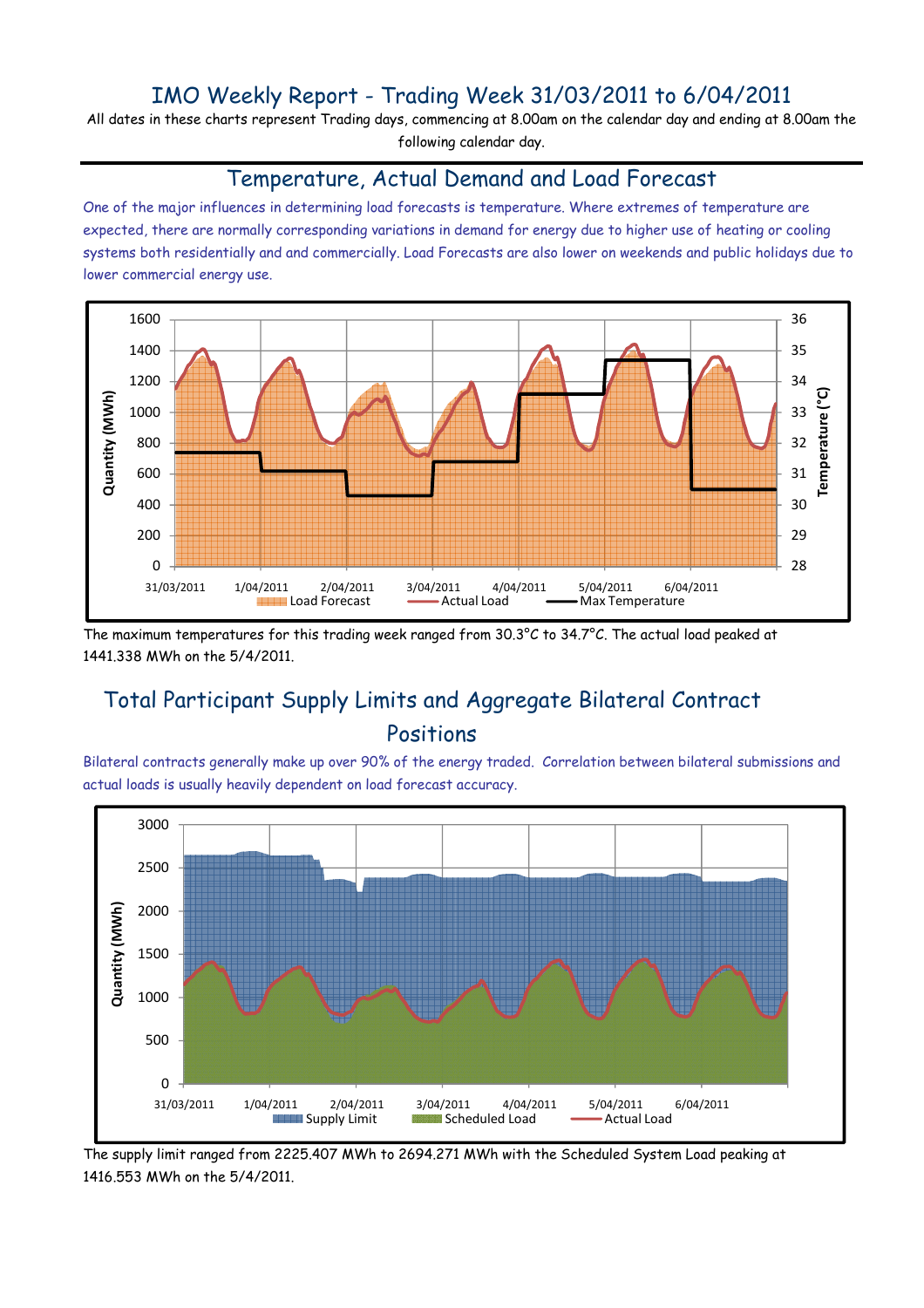## IMO Weekly Report - Trading Week 31/03/2011 to 6/04/2011

All dates in these charts represent Trading days, commencing at 8.00am on the calendar day and ending at 8.00am the following calendar day.

#### Temperature, Actual Demand and Load Forecast

One of the major influences in determining load forecasts is temperature. Where extremes of temperature are expected, there are normally corresponding variations in demand for energy due to higher use of heating or cooling systems both residentially and and commercially. Load Forecasts are also lower on weekends and public holidays due to lower commercial energy use.



The maximum temperatures for this trading week ranged from 30.3°C to 34.7°C. The actual load peaked at 1441.338 MWh on the 5/4/2011.

# Total Participant Supply Limits and Aggregate Bilateral Contract Positions

Bilateral contracts generally make up over 90% of the energy traded. Correlation between bilateral submissions and actual loads is usually heavily dependent on load forecast accuracy.



The supply limit ranged from 2225.407 MWh to 2694.271 MWh with the Scheduled System Load peaking at 1416.553 MWh on the 5/4/2011.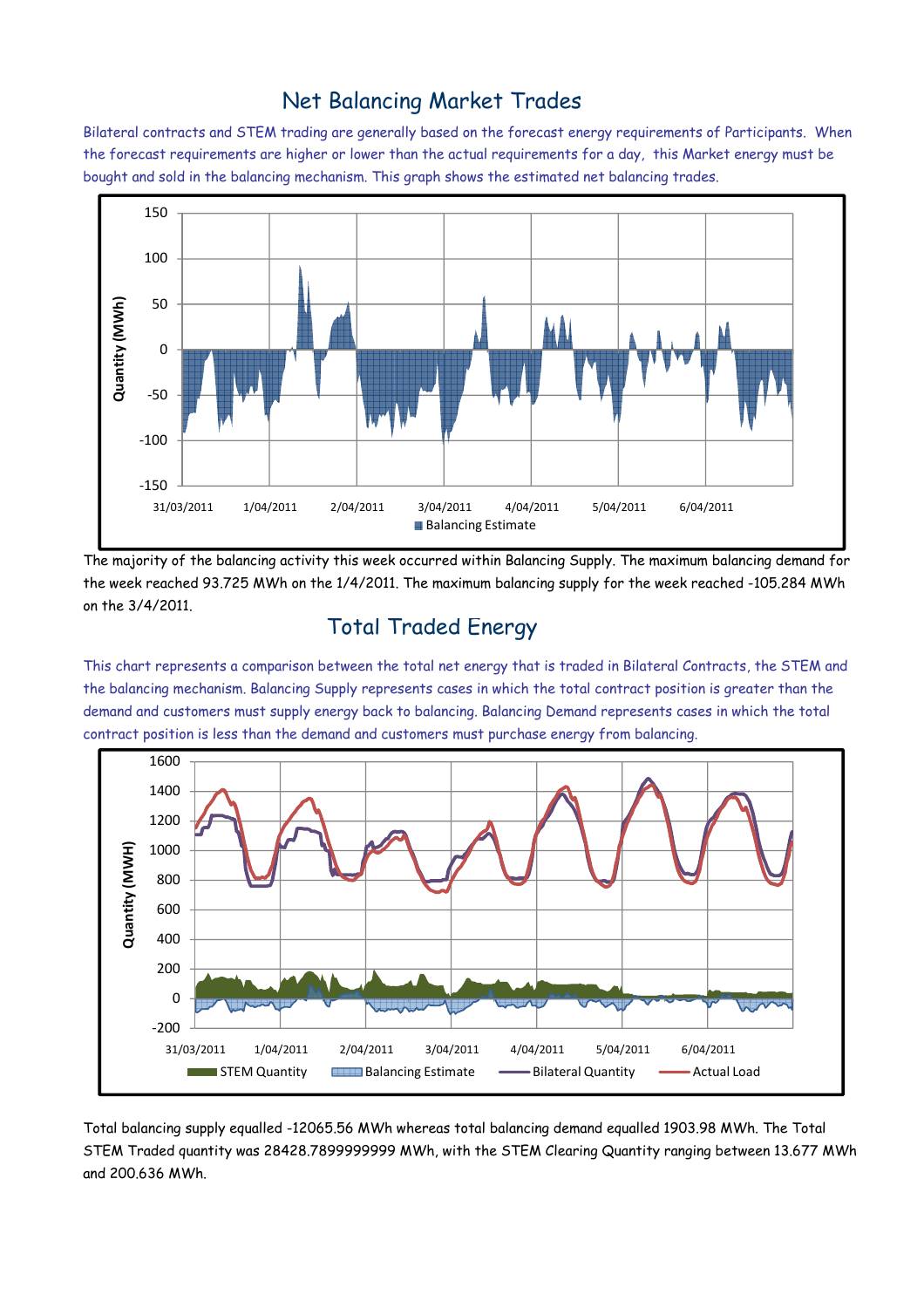## Net Balancing Market Trades

Bilateral contracts and STEM trading are generally based on the forecast energy requirements of Participants. When the forecast requirements are higher or lower than the actual requirements for a day, this Market energy must be bought and sold in the balancing mechanism. This graph shows the estimated net balancing trades.



The majority of the balancing activity this week occurred within Balancing Supply. The maximum balancing demand for the week reached 93.725 MWh on the 1/4/2011. The maximum balancing supply for the week reached -105.284 MWh on the 3/4/2011.

#### Total Traded Energy

This chart represents a comparison between the total net energy that is traded in Bilateral Contracts, the STEM and the balancing mechanism. Balancing Supply represents cases in which the total contract position is greater than the demand and customers must supply energy back to balancing. Balancing Demand represents cases in which the total contract position is less than the demand and customers must purchase energy from balancing.



Total balancing supply equalled -12065.56 MWh whereas total balancing demand equalled 1903.98 MWh. The Total STEM Traded quantity was 28428.7899999999 MWh, with the STEM Clearing Quantity ranging between 13.677 MWh and 200.636 MWh.